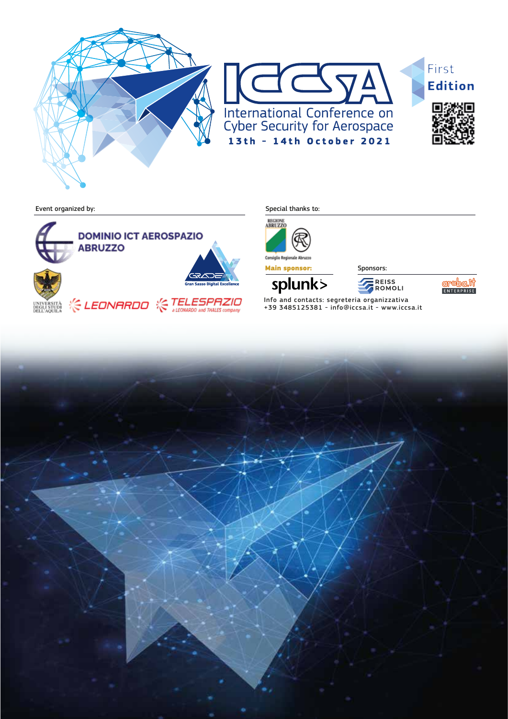







Event organized by: Special thanks to:





Main sponsor: Sponsors:

splunk>

**E** REISS<br>FROMOLI



Info and contacts: segreteria organizzativa +39 3485125381 - info@iccsa.it - www.iccsa.it